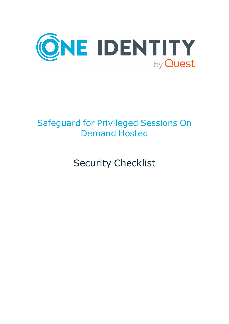

# Safeguard for Privileged Sessions On Demand Hosted

Security Checklist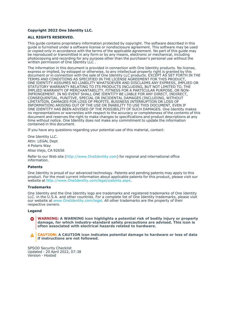### **Copyright 2022 One Identity LLC.**

### **ALL RIGHTS RESERVED.**

This guide contains proprietary information protected by copyright. The software described in this guide is furnished under a software license or nondisclosure agreement. This software may be used or copied only in accordance with the terms of the applicable agreement. No part of this guide may be reproduced or transmitted in any form or by any means, electronic or mechanical, including photocopying and recording for any purpose other than the purchaser's personal use without the written permission of One Identity LLC .

The information in this document is provided in connection with One Identity products. No license, express or implied, by estoppel or otherwise, to any intellectual property right is granted by this document or in connection with the sale of One Identity LLC products. EXCEPT AS SET FORTH IN THE TERMS AND CONDITIONS AS SPECIFIED IN THE LICENSE AGREEMENT FOR THIS PRODUCT, ONE IDENTITY ASSUMES NO LIABILITY WHATSOEVER AND DISCLAIMS ANY EXPRESS, IMPLIED OR STATUTORY WARRANTY RELATING TO ITS PRODUCTS INCLUDING, BUT NOT LIMITED TO, THE IMPLIED WARRANTY OF MERCHANTABILITY, FITNESS FOR A PARTICULAR PURPOSE, OR NON-INFRINGEMENT. IN NO EVENT SHALL ONE IDENTITY BE LIABLE FOR ANY DIRECT, INDIRECT, CONSEQUENTIAL, PUNITIVE, SPECIAL OR INCIDENTAL DAMAGES (INCLUDING, WITHOUT LIMITATION, DAMAGES FOR LOSS OF PROFITS, BUSINESS INTERRUPTION OR LOSS OF INFORMATION) ARISING OUT OF THE USE OR INABILITY TO USE THIS DOCUMENT, EVEN IF ONE IDENTITY HAS BEEN ADVISED OF THE POSSIBILITY OF SUCH DAMAGES. One Identity makes no representations or warranties with respect to the accuracy or completeness of the contents of this document and reserves the right to make changes to specifications and product descriptions at any time without notice. One Identity does not make any commitment to update the information contained in this document.

If you have any questions regarding your potential use of this material, contact:

One Identity LLC. Attn: LEGAL Dept 4 Polaris Way Aliso Viejo, CA 92656

Refer to our Web site [\(http://www.OneIdentity.com](http://www.oneidentity.com/)) for regional and international office information.

### **Patents**

One Identity is proud of our advanced technology. Patents and pending patents may apply to this product. For the most current information about applicable patents for this product, please visit our website at [http://www.OneIdentity.com/legal/patents.aspx.](http://www.oneidentity.com/legal/patents.aspx)

#### **Trademarks**

One Identity and the One Identity logo are trademarks and registered trademarks of One Identity LLC. in the U.S.A. and other countries. For a complete list of One Identity trademarks, please visit our website at [www.OneIdentity.com/legal](http://www.oneidentity.com/legal). All other trademarks are the property of their respective owners.

#### **Legend**

**WARNING: A WARNING icon highlights a potential risk of bodily injury or property** œ **damage, for which industry-standard safety precautions are advised. This icon is often associated with electrical hazards related to hardware.**

**CAUTION: A CAUTION icon indicates potential damage to hardware or loss of data if instructions are not followed.**

SPSOD Security Checklist Updated - 20 April 2022, 07:38 Version - Hosted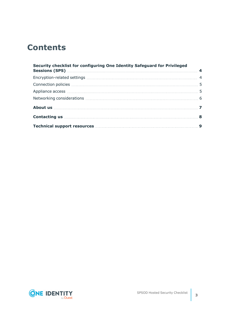## **Contents**

| Security checklist for configuring One Identity Safeguard for Privileged |  |
|--------------------------------------------------------------------------|--|
|                                                                          |  |
|                                                                          |  |
|                                                                          |  |
|                                                                          |  |
|                                                                          |  |
|                                                                          |  |
|                                                                          |  |

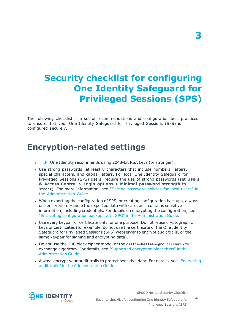## <span id="page-3-0"></span>**Security checklist for configuring One Identity Safeguard for Privileged Sessions (SPS)**

The following checklist is a set of recommendations and configuration best practices to ensure that your One Identity Safeguard for Privileged Sessions (SPS) is configured securely.

### <span id="page-3-1"></span>**Encryption-related settings**

- $\cdot$  TIP: One Identity recommends using 2048-bit RSA keys (or stronger).
- Use strong passwords: at least 8 characters that include numbers, letters, special characters, and capital letters. For local One Identity Safeguard for Privileged Sessions (SPS) users, require the use of strong passwords (set **Users & Access Control** > **Login options** > **Minimal password strength** to strong). For more information, see "Setting [password](https://support.oneidentity.com/technical-documents/safeguard-for-privileged-sessions/6.13.1/administration-guide/user-management-and-access-control/setting-password-policies-for-local-users/) policies for local users" in the [Administration](https://support.oneidentity.com/technical-documents/safeguard-for-privileged-sessions/6.13.1/administration-guide/user-management-and-access-control/setting-password-policies-for-local-users/) Guide.
- When exporting the configuration of SPS, or creating configuration backups, always use encryption. Handle the exported data with care, as it contains sensitive information, including credentials. For details on encrypting the configuration, see "Encrypting configuration backups with GPG" in the [Administration](https://support.oneidentity.com/technical-documents/safeguard-for-privileged-sessions/6.13.1/administration-guide/basic-settings/data-and-configuration-backups/encrypting-configuration-backups-with-gpg/) Guide.
- Use every keypair or certificate only for one purpose. Do not reuse cryptographic keys or certificates (for example, do not use the certificate of the One Identity Safeguard for Privileged Sessions (SPS) webserver to encrypt audit trails, or the same keypair for signing and encrypting data).
- Do not use the CBC block cipher mode, or the diffie-hellman-group1-sha1 key exchange algorithm. For details, see "Supported encryption [algorithms"](https://support.oneidentity.com/technical-documents/safeguard-for-privileged-sessions/6.13.1/administration-guide/ssh-specific-settings/supported-encryption-algorithms/) in the [Administration](https://support.oneidentity.com/technical-documents/safeguard-for-privileged-sessions/6.13.1/administration-guide/ssh-specific-settings/supported-encryption-algorithms/) Guide.
- Always encrypt your audit trails to protect sensitive data. For details, see ["Encrypting](https://support.oneidentity.com/technical-documents/safeguard-for-privileged-sessions/6.13.1/administration-guide/general-connection-settings/audit-policies/encrypting-audit-trails/)" audit trails" in the [Administration](https://support.oneidentity.com/technical-documents/safeguard-for-privileged-sessions/6.13.1/administration-guide/general-connection-settings/audit-policies/encrypting-audit-trails/) Guide.



SPSOD Hosted Security Checklist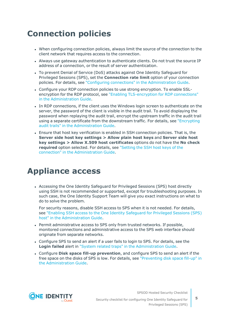## <span id="page-4-0"></span>**Connection policies**

- When configuring connection policies, always limit the source of the connection to the client network that requires access to the connection.
- Always use gateway authentication to authenticate clients. Do not trust the source IP address of a connection, or the result of server authentication.
- To prevent Denial of Service (DoS) attacks against One Identity Safeguard for Privileged Sessions (SPS), set the **Connection rate limit** option of your connection policies. For details, see "Configuring connections" in the [Administration](https://support.oneidentity.com/technical-documents/safeguard-for-privileged-sessions/6.13.1/administration-guide/general-connection-settings/configuring-connections/) Guide.
- Configure your RDP connection policies to use strong encryption. To enable SSLencryption for the RDP protocol, see "Enabling [TLS-encryption](https://support.oneidentity.com/technical-documents/safeguard-for-privileged-sessions/6.13.1/administration-guide/rdp-specific-settings/enabling-tls-encryption-for-rdp-connections/) for RDP connections" in the [Administration](https://support.oneidentity.com/technical-documents/safeguard-for-privileged-sessions/6.13.1/administration-guide/rdp-specific-settings/enabling-tls-encryption-for-rdp-connections/) Guide.
- In RDP connections, if the client uses the Windows login screen to authenticate on the server, the password of the client is visible in the audit trail. To avoid displaying the password when replaying the audit trail, encrypt the upstream traffic in the audit trail using a separate certificate from the downstream traffic. For details, see ["Encrypting](https://support.oneidentity.com/technical-documents/safeguard-for-privileged-sessions/6.13.1/administration-guide/general-connection-settings/audit-policies/encrypting-audit-trails/) audit trails" in the [Administration](https://support.oneidentity.com/technical-documents/safeguard-for-privileged-sessions/6.13.1/administration-guide/general-connection-settings/audit-policies/encrypting-audit-trails/) Guide.
- Ensure that host key verification is enabled in SSH connection policies. That is, the **Server side host key settings > Allow plain host keys** and **Server side host key settings > Allow X.509 host certificates** options do not have the **No check required** option selected. For details, see ["Setting](https://support.oneidentity.com/technical-documents/safeguard-for-privileged-sessions/6.13.1/administration-guide/ssh-specific-settings/setting-the-ssh-host-keys--of-the-connection/) the SSH host keys of the connection" in the [Administration](https://support.oneidentity.com/technical-documents/safeguard-for-privileged-sessions/6.13.1/administration-guide/ssh-specific-settings/setting-the-ssh-host-keys--of-the-connection/) Guide.

### <span id="page-4-1"></span>**Appliance access**

• Accessing the One Identity Safeguard for Privileged Sessions (SPS) host directly using SSH is not recommended or supported, except for troubleshooting purposes. In such case, the One Identity Support Team will give you exact instructions on what to do to solve the problem.

For security reasons, disable SSH access to SPS when it is not needed. For details, see "Enabling SSH access to the One Identity [Safeguard](https://support.oneidentity.com/technical-documents/safeguard-for-privileged-sessions/6.13.1/administration-guide/managing-one-identity-safeguard-for-privileged-sessions-sps/accessing-the-one-identity-safeguard-for-privileged-sessions-sps-console/enabling-ssh-access-to-the-one-identity-safeguard-for-privileged-sessions-sps-host/) for Privileged Sessions (SPS) host" in the [Administration](https://support.oneidentity.com/technical-documents/safeguard-for-privileged-sessions/6.13.1/administration-guide/managing-one-identity-safeguard-for-privileged-sessions-sps/accessing-the-one-identity-safeguard-for-privileged-sessions-sps-console/enabling-ssh-access-to-the-one-identity-safeguard-for-privileged-sessions-sps-host/) Guide.

- Permit administrative access to SPS only from trusted networks. If possible, monitored connections and administrative access to the SPS web interface should originate from separate networks.
- Configure SPS to send an alert if a user fails to login to SPS. For details, see the **Login failed** alert in "System related traps" in the [Administration](https://support.oneidentity.com/technical-documents/safeguard-for-privileged-sessions/6.13.1/administration-guide/basic-settings/configuring-system-monitoring-on-sps/system-related-traps/) Guide.
- <sup>l</sup> Configure **Disk space fill-up prevention**, and configure SPS to send an alert if the free space on the disks of SPS is low. For details, see ["Preventing](https://support.oneidentity.com/technical-documents/safeguard-for-privileged-sessions/6.13.1/administration-guide/basic-settings/configuring-system-monitoring-on-sps/preventing-disk-space-fill-up/) disk space fill-up" in the [Administration](https://support.oneidentity.com/technical-documents/safeguard-for-privileged-sessions/6.13.1/administration-guide/basic-settings/configuring-system-monitoring-on-sps/preventing-disk-space-fill-up/) Guide.



SPSOD Hosted Security Checklist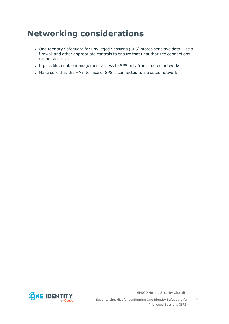## <span id="page-5-0"></span>**Networking considerations**

- One Identity Safeguard for Privileged Sessions (SPS) stores sensitive data. Use a firewall and other appropriate controls to ensure that unauthorized connections cannot access it.
- If possible, enable management access to SPS only from trusted networks.
- . Make sure that the HA interface of SPS is connected to a trusted network.



SPSOD Hosted Security Checklist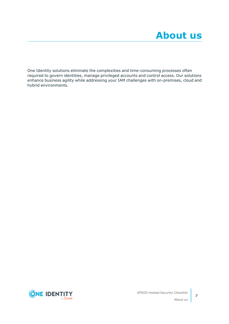<span id="page-6-0"></span>One Identity solutions eliminate the complexities and time-consuming processes often required to govern identities, manage privileged accounts and control access. Our solutions enhance business agility while addressing your IAM challenges with on-premises, cloud and hybrid environments.



**7**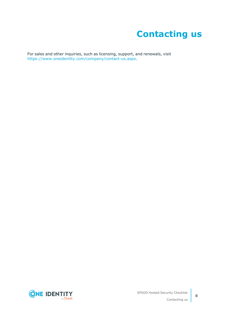# **Contacting us**

<span id="page-7-0"></span>For sales and other inquiries, such as licensing, support, and renewals, visit [https://www.oneidentity.com/company/contact-us.aspx.](https://www.oneidentity.com/company/contact-us.aspx)

**ONE IDENTITY** by **Quest**